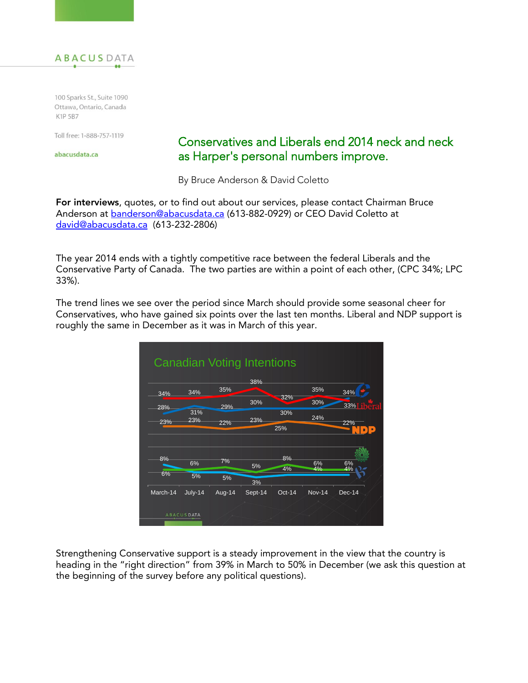

100 Sparks St., Suite 1090 Ottawa, Ontario, Canada K1P 5B7

Toll free: 1-888-757-1119

abacusdata.ca

## Conservatives and Liberals end 2014 neck and neck as Harper's personal numbers improve.

By Bruce Anderson & David Coletto

**For interviews**, quotes, or to find out about our services, please contact Chairman Bruce Anderson at **[banderson@abacusdata.ca](mailto:banderson@abacusdata.ca)** (613-882-0929) or CEO David Coletto at [david@abacusdata.ca](mailto:david@abacusdata.ca) (613-232-2806)

The year 2014 ends with a tightly competitive race between the federal Liberals and the Conservative Party of Canada. The two parties are within a point of each other, (CPC 34%; LPC 33%).

The trend lines we see over the period since March should provide some seasonal cheer for Conservatives, who have gained six points over the last ten months. Liberal and NDP support is roughly the same in December as it was in March of this year.



Strengthening Conservative support is a steady improvement in the view that the country is heading in the "right direction" from 39% in March to 50% in December (we ask this question at the beginning of the survey before any political questions).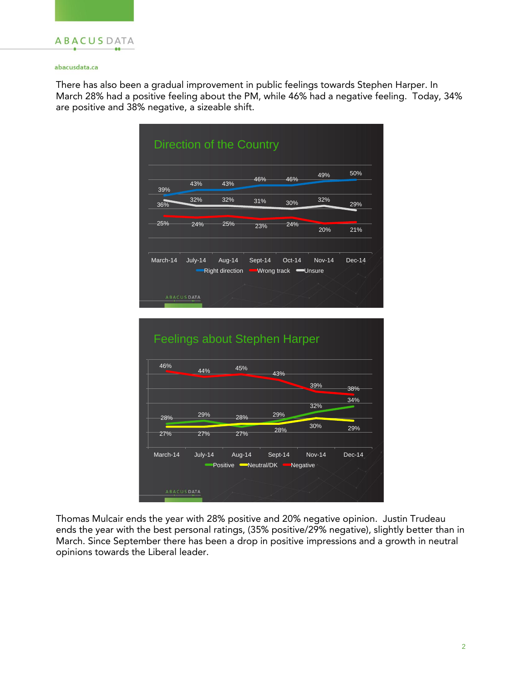

### abacusdata.ca

There has also been a gradual improvement in public feelings towards Stephen Harper. In March 28% had a positive feeling about the PM, while 46% had a negative feeling. Today, 34% are positive and 38% negative, a sizeable shift.



Thomas Mulcair ends the year with 28% positive and 20% negative opinion. Justin Trudeau ends the year with the best personal ratings, (35% positive/29% negative), slightly better than in March. Since September there has been a drop in positive impressions and a growth in neutral opinions towards the Liberal leader.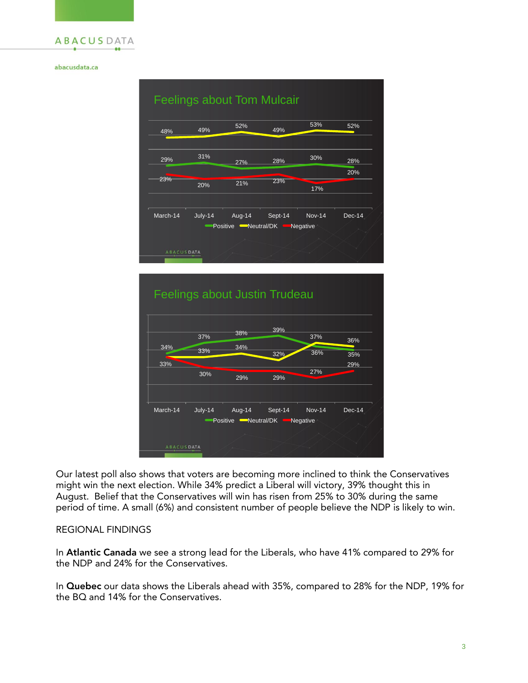

### abacusdata.ca





Our latest poll also shows that voters are becoming more inclined to think the Conservatives might win the next election. While 34% predict a Liberal will victory, 39% thought this in August. Belief that the Conservatives will win has risen from 25% to 30% during the same period of time. A small (6%) and consistent number of people believe the NDP is likely to win.

### REGIONAL FINDINGS

In **Atlantic Canada** we see a strong lead for the Liberals, who have 41% compared to 29% for the NDP and 24% for the Conservatives.

In **Quebec** our data shows the Liberals ahead with 35%, compared to 28% for the NDP, 19% for the BQ and 14% for the Conservatives.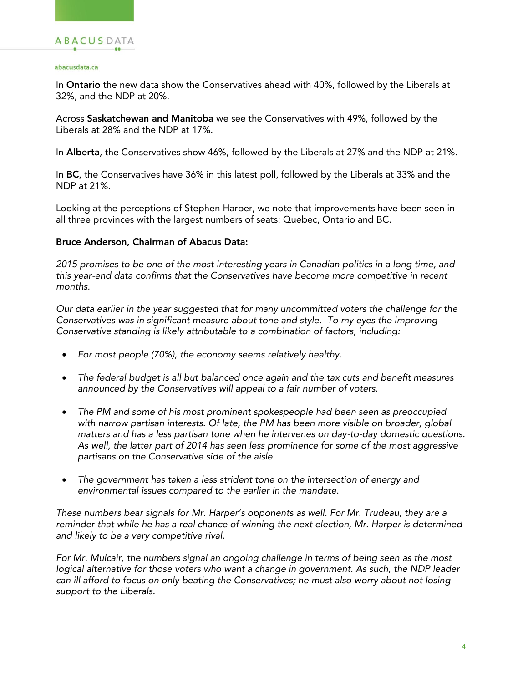#### abacusdata.ca

In **Ontario** the new data show the Conservatives ahead with 40%, followed by the Liberals at 32%, and the NDP at 20%.

Across **Saskatchewan and Manitoba** we see the Conservatives with 49%, followed by the Liberals at 28% and the NDP at 17%.

In **Alberta**, the Conservatives show 46%, followed by the Liberals at 27% and the NDP at 21%.

In **BC**, the Conservatives have 36% in this latest poll, followed by the Liberals at 33% and the NDP at 21%.

Looking at the perceptions of Stephen Harper, we note that improvements have been seen in all three provinces with the largest numbers of seats: Quebec, Ontario and BC.

### **Bruce Anderson, Chairman of Abacus Data:**

*2015 promises to be one of the most interesting years in Canadian politics in a long time, and this year-end data confirms that the Conservatives have become more competitive in recent months.* 

*Our data earlier in the year suggested that for many uncommitted voters the challenge for the Conservatives was in significant measure about tone and style. To my eyes the improving Conservative standing is likely attributable to a combination of factors, including:*

- *For most people (70%), the economy seems relatively healthy.*
- *The federal budget is all but balanced once again and the tax cuts and benefit measures announced by the Conservatives will appeal to a fair number of voters.*
- *The PM and some of his most prominent spokespeople had been seen as preoccupied with narrow partisan interests. Of late, the PM has been more visible on broader, global matters and has a less partisan tone when he intervenes on day-to-day domestic questions. As well, the latter part of 2014 has seen less prominence for some of the most aggressive partisans on the Conservative side of the aisle.*
- *The government has taken a less strident tone on the intersection of energy and environmental issues compared to the earlier in the mandate.*

*These numbers bear signals for Mr. Harper's opponents as well. For Mr. Trudeau, they are a*  reminder that while he has a real chance of winning the next election, Mr. Harper is determined *and likely to be a very competitive rival.* 

*For Mr. Mulcair, the numbers signal an ongoing challenge in terms of being seen as the most*  logical alternative for those voters who want a change in government. As such, the NDP leader *can ill afford to focus on only beating the Conservatives; he must also worry about not losing support to the Liberals.*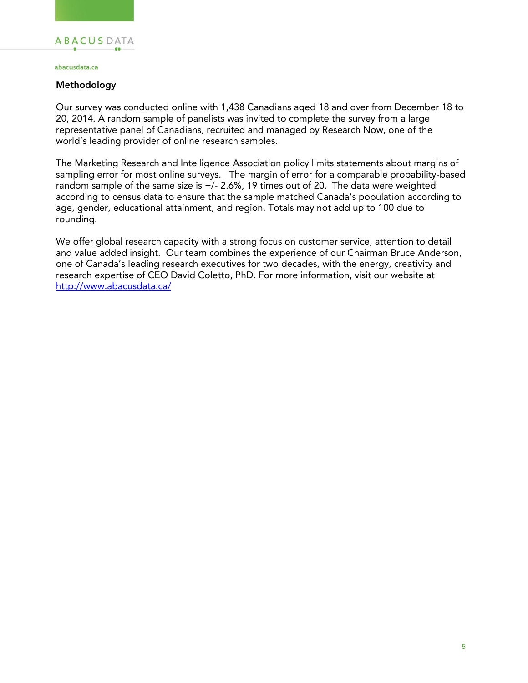#### abacusdata.ca

### **Methodology**

Our survey was conducted online with 1,438 Canadians aged 18 and over from December 18 to 20, 2014. A random sample of panelists was invited to complete the survey from a large representative panel of Canadians, recruited and managed by Research Now, one of the world's leading provider of online research samples.

The Marketing Research and Intelligence Association policy limits statements about margins of sampling error for most online surveys. The margin of error for a comparable probability-based random sample of the same size is +/- 2.6%, 19 times out of 20. The data were weighted according to census data to ensure that the sample matched Canada's population according to age, gender, educational attainment, and region. Totals may not add up to 100 due to rounding.

We offer global research capacity with a strong focus on customer service, attention to detail and value added insight. Our team combines the experience of our Chairman Bruce Anderson, one of Canada's leading research executives for two decades, with the energy, creativity and research expertise of CEO David Coletto, PhD. For more information, visit our website at <http://www.abacusdata.ca/>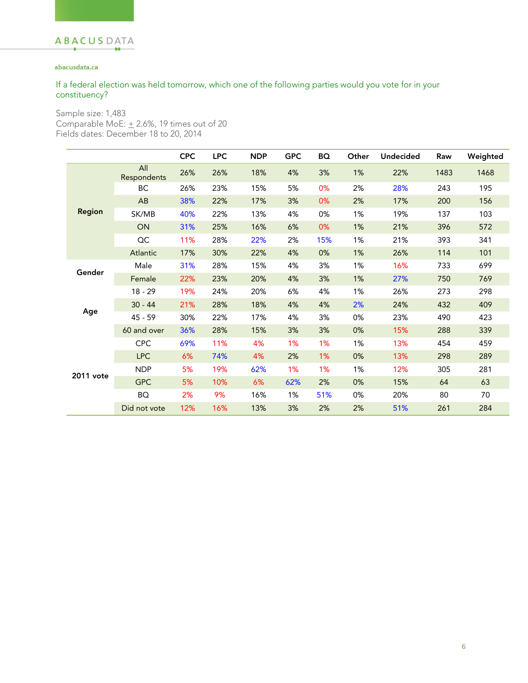### abacusdata.ca

### If a federal election was held tomorrow, which one of the following parties would you vote for in your constituency?

Sample size: 1,483

Comparable MoE:  $\pm$  2.6%, 19 times out of 20 Fields dates: December 18 to 20, 2014

|           |                    | <b>CPC</b> | <b>LPC</b> | <b>NDP</b> | <b>GPC</b> | <b>BQ</b> | Other | <b>Undecided</b> | Raw  | Weighted |
|-----------|--------------------|------------|------------|------------|------------|-----------|-------|------------------|------|----------|
| Region    | All<br>Respondents | 26%        | 26%        | 18%        | 4%         | 3%        | 1%    | 22%              | 1483 | 1468     |
|           | <b>BC</b>          | 26%        | 23%        | 15%        | 5%         | 0%        | 2%    | 28%              | 243  | 195      |
|           | AB                 | 38%        | 22%        | 17%        | 3%         | 0%        | 2%    | 17%              | 200  | 156      |
|           | SK/MB              | 40%        | 22%        | 13%        | 4%         | 0%        | 1%    | 19%              | 137  | 103      |
|           | ON                 | 31%        | 25%        | 16%        | 6%         | 0%        | 1%    | 21%              | 396  | 572      |
|           | QC                 | 11%        | 28%        | 22%        | 2%         | 15%       | 1%    | 21%              | 393  | 341      |
|           | Atlantic           | 17%        | 30%        | 22%        | 4%         | 0%        | 1%    | 26%              | 114  | 101      |
| Gender    | Male               | 31%        | 28%        | 15%        | 4%         | 3%        | 1%    | 16%              | 733  | 699      |
|           | Female             | 22%        | 23%        | 20%        | 4%         | 3%        | 1%    | 27%              | 750  | 769      |
|           | 18 - 29            | 19%        | 24%        | 20%        | 6%         | 4%        | 1%    | 26%              | 273  | 298      |
|           | $30 - 44$          | 21%        | 28%        | 18%        | 4%         | 4%        | 2%    | 24%              | 432  | 409      |
| Age       | 45 - 59            | 30%        | 22%        | 17%        | 4%         | 3%        | 0%    | 23%              | 490  | 423      |
|           | 60 and over        | 36%        | 28%        | 15%        | 3%         | 3%        | 0%    | 15%              | 288  | 339      |
|           | <b>CPC</b>         | 69%        | 11%        | 4%         | 1%         | 1%        | 1%    | 13%              | 454  | 459      |
|           | <b>LPC</b>         | 6%         | 74%        | 4%         | 2%         | 1%        | 0%    | 13%              | 298  | 289      |
| 2011 vote | <b>NDP</b>         | 5%         | 19%        | 62%        | 1%         | 1%        | 1%    | 12%              | 305  | 281      |
|           | <b>GPC</b>         | 5%         | 10%        | 6%         | 62%        | 2%        | 0%    | 15%              | 64   | 63       |
|           | <b>BQ</b>          | 2%         | 9%         | 16%        | 1%         | 51%       | 0%    | 20%              | 80   | 70       |
|           | Did not vote       | 12%        | 16%        | 13%        | 3%         | 2%        | 2%    | 51%              | 261  | 284      |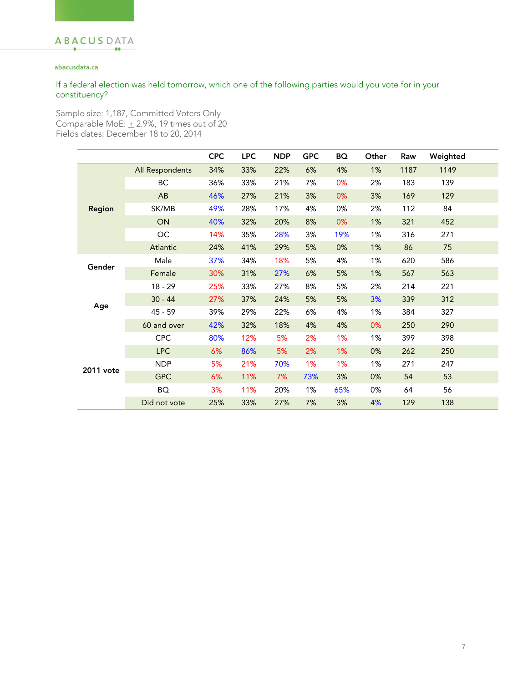### abacusdata.ca

### If a federal election was held tomorrow, which one of the following parties would you vote for in your constituency?

Sample size: 1,187, Committed Voters Only Comparable MoE:  $\pm$  2.9%, 19 times out of 20 Fields dates: December 18 to 20, 2014

|           |                 | <b>CPC</b> | <b>LPC</b> | <b>NDP</b> | <b>GPC</b> | BQ  | Other | Raw  | Weighted |  |
|-----------|-----------------|------------|------------|------------|------------|-----|-------|------|----------|--|
| Region    | All Respondents | 34%        | 33%        | 22%        | 6%         | 4%  | 1%    | 1187 | 1149     |  |
|           | ВC              | 36%        | 33%        | 21%        | 7%         | 0%  | 2%    | 183  | 139      |  |
|           | AB              | 46%        | 27%        | 21%        | 3%         | 0%  | 3%    | 169  | 129      |  |
|           | SK/MB           | 49%        | 28%        | 17%        | 4%         | 0%  | 2%    | 112  | 84       |  |
|           | ON              | 40%        | 32%        | 20%        | 8%         | 0%  | 1%    | 321  | 452      |  |
|           | OC              | 14%        | 35%        | 28%        | 3%         | 19% | 1%    | 316  | 271      |  |
|           | Atlantic        | 24%        | 41%        | 29%        | 5%         | 0%  | 1%    | 86   | 75       |  |
| Gender    | Male            | 37%        | 34%        | 18%        | 5%         | 4%  | 1%    | 620  | 586      |  |
|           | Female          | 30%        | 31%        | 27%        | 6%         | 5%  | 1%    | 567  | 563      |  |
|           | $18 - 29$       | 25%        | 33%        | 27%        | 8%         | 5%  | 2%    | 214  | 221      |  |
|           | $30 - 44$       | 27%        | 37%        | 24%        | 5%         | 5%  | 3%    | 339  | 312      |  |
| Age       | $45 - 59$       | 39%        | 29%        | 22%        | 6%         | 4%  | 1%    | 384  | 327      |  |
|           | 60 and over     | 42%        | 32%        | 18%        | 4%         | 4%  | 0%    | 250  | 290      |  |
|           | <b>CPC</b>      | 80%        | 12%        | 5%         | 2%         | 1%  | 1%    | 399  | 398      |  |
|           | <b>LPC</b>      | 6%         | 86%        | 5%         | 2%         | 1%  | 0%    | 262  | 250      |  |
| 2011 vote | <b>NDP</b>      | 5%         | 21%        | 70%        | 1%         | 1%  | 1%    | 271  | 247      |  |
|           | <b>GPC</b>      | 6%         | 11%        | 7%         | 73%        | 3%  | 0%    | 54   | 53       |  |
|           | BQ              | 3%         | 11%        | 20%        | 1%         | 65% | 0%    | 64   | 56       |  |
|           | Did not vote    | 25%        | 33%        | 27%        | 7%         | 3%  | 4%    | 129  | 138      |  |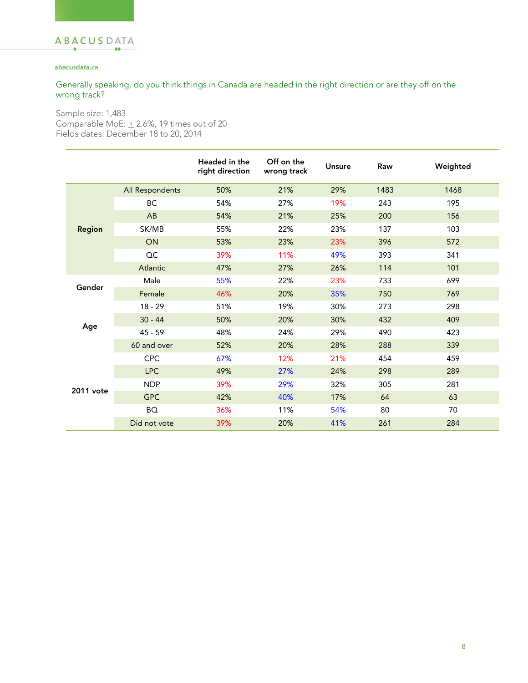### abacusdata.ca

Generally speaking, do you think things in Canada are headed in the right direction or are they off on the wrong track?

|               |                 | Headed in the<br>right direction | Off on the<br>wrong track | Unsure | Raw  | Weighted |
|---------------|-----------------|----------------------------------|---------------------------|--------|------|----------|
| <b>Region</b> | All Respondents | 50%                              | 21%                       | 29%    | 1483 | 1468     |
|               | <b>BC</b>       | 54%                              | 27%                       | 19%    | 243  | 195      |
|               | AB              | 54%                              | 21%                       | 25%    | 200  | 156      |
|               | SK/MB           | 55%                              | 22%                       | 23%    | 137  | 103      |
|               | ON              | 53%                              | 23%                       | 23%    | 396  | 572      |
|               | OC              | 39%                              | 11%                       | 49%    | 393  | 341      |
|               | Atlantic        | 47%                              | 27%                       | 26%    | 114  | 101      |
| Gender        | Male            | 55%                              | 22%                       | 23%    | 733  | 699      |
|               | Female          | 46%                              | 20%                       | 35%    | 750  | 769      |
|               | $18 - 29$       | 51%                              | 19%                       | 30%    | 273  | 298      |
|               | $30 - 44$       | 50%                              | 20%                       | 30%    | 432  | 409      |
| Age           | $45 - 59$       | 48%                              | 24%                       | 29%    | 490  | 423      |
|               | 60 and over     | 52%                              | 20%                       | 28%    | 288  | 339      |
|               | <b>CPC</b>      | 67%                              | 12%                       | 21%    | 454  | 459      |
|               | <b>LPC</b>      | 49%                              | 27%                       | 24%    | 298  | 289      |
| 2011 vote     | <b>NDP</b>      | 39%                              | 29%                       | 32%    | 305  | 281      |
|               | <b>GPC</b>      | 42%                              | 40%                       | 17%    | 64   | 63       |
|               | <b>BQ</b>       | 36%                              | 11%                       | 54%    | 80   | 70       |
|               | Did not vote    | 39%                              | 20%                       | 41%    | 261  | 284      |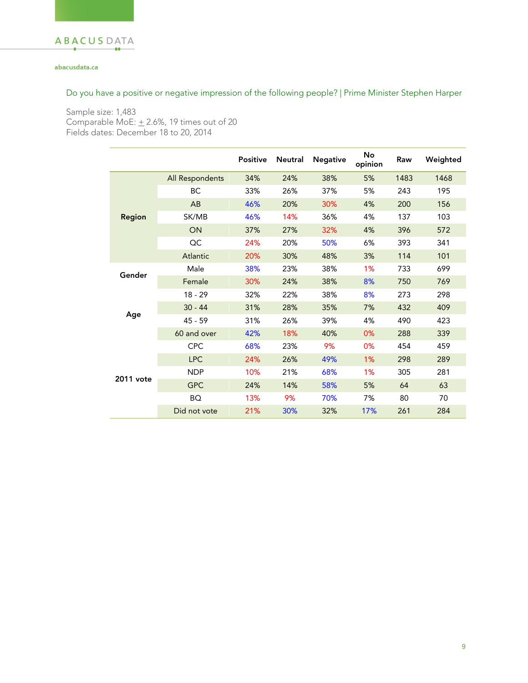### abacusdata.ca

## Do you have a positive or negative impression of the following people? | Prime Minister Stephen Harper

|               |                 | Positive | <b>Neutral</b> | <b>Negative</b> | No<br>opinion | Raw  | Weighted |
|---------------|-----------------|----------|----------------|-----------------|---------------|------|----------|
|               | All Respondents | 34%      | 24%            | 38%             | 5%            | 1483 | 1468     |
|               | ВC              | 33%      | 26%            | 37%             | 5%            | 243  | 195      |
|               | AB              | 46%      | 20%            | 30%             | 4%            | 200  | 156      |
| Region        | SK/MB           | 46%      | 14%            | 36%             | 4%            | 137  | 103      |
|               | ON              | 37%      | 27%            | 32%             | 4%            | 396  | 572      |
|               | OC              | 24%      | 20%            | 50%             | 6%            | 393  | 341      |
|               | Atlantic        | 20%      | 30%            | 48%             | 3%            | 114  | 101      |
| Gender<br>Age | Male            | 38%      | 23%            | 38%             | 1%            | 733  | 699      |
|               | Female          | 30%      | 24%            | 38%             | 8%            | 750  | 769      |
|               | $18 - 29$       | 32%      | 22%            | 38%             | 8%            | 273  | 298      |
|               | $30 - 44$       | 31%      | 28%            | 35%             | 7%            | 432  | 409      |
|               | 45 - 59         | 31%      | 26%            | 39%             | 4%            | 490  | 423      |
|               | 60 and over     | 42%      | 18%            | 40%             | 0%            | 288  | 339      |
|               | <b>CPC</b>      | 68%      | 23%            | 9%              | 0%            | 454  | 459      |
|               | <b>LPC</b>      | 24%      | 26%            | 49%             | 1%            | 298  | 289      |
| 2011 vote     | <b>NDP</b>      | 10%      | 21%            | 68%             | 1%            | 305  | 281      |
|               | <b>GPC</b>      | 24%      | 14%            | 58%             | 5%            | 64   | 63       |
|               | BQ              | 13%      | 9%             | 70%             | 7%            | 80   | 70       |
|               | Did not vote    | 21%      | 30%            | 32%             | 17%           | 261  | 284      |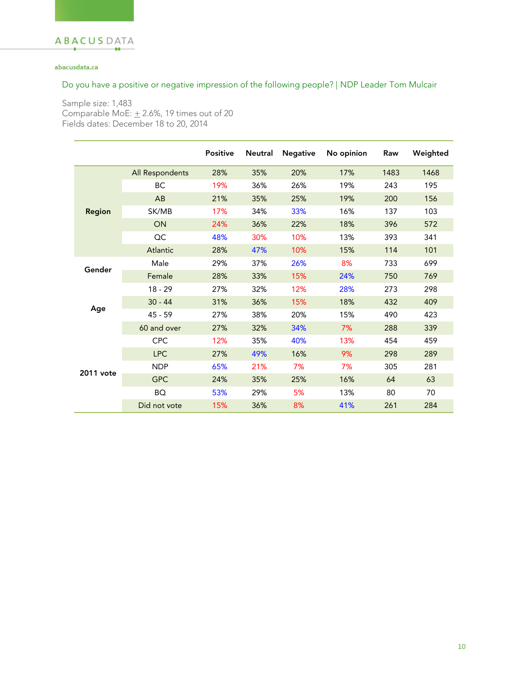### abacusdata.ca

## Do you have a positive or negative impression of the following people? | NDP Leader Tom Mulcair

|           |                 | <b>Positive</b> | <b>Neutral</b> | <b>Negative</b> | No opinion | Raw  | Weighted |
|-----------|-----------------|-----------------|----------------|-----------------|------------|------|----------|
| Region    | All Respondents | 28%             | 35%            | 20%             | 17%        | 1483 | 1468     |
|           | BC              | 19%             | 36%            | 26%             | 19%        | 243  | 195      |
|           | AB              | 21%             | 35%            | 25%             | 19%        | 200  | 156      |
|           | SK/MB           | 17%             | 34%            | 33%             | 16%        | 137  | 103      |
|           | ON              | 24%             | 36%            | 22%             | 18%        | 396  | 572      |
|           | OC              | 48%             | 30%            | 10%             | 13%        | 393  | 341      |
|           | Atlantic        | 28%             | 47%            | 10%             | 15%        | 114  | 101      |
| Gender    | Male            | 29%             | 37%            | 26%             | 8%         | 733  | 699      |
|           | Female          | 28%             | 33%            | 15%             | 24%        | 750  | 769      |
|           | $18 - 29$       | 27%             | 32%            | 12%             | 28%        | 273  | 298      |
|           | $30 - 44$       | 31%             | 36%            | 15%             | 18%        | 432  | 409      |
| Age       | 45 - 59         | 27%             | 38%            | 20%             | 15%        | 490  | 423      |
|           | 60 and over     | 27%             | 32%            | 34%             | 7%         | 288  | 339      |
|           | CPC             | 12%             | 35%            | 40%             | 13%        | 454  | 459      |
|           | <b>LPC</b>      | 27%             | 49%            | 16%             | 9%         | 298  | 289      |
| 2011 vote | <b>NDP</b>      | 65%             | 21%            | 7%              | 7%         | 305  | 281      |
|           | <b>GPC</b>      | 24%             | 35%            | 25%             | 16%        | 64   | 63       |
|           | BQ              | 53%             | 29%            | 5%              | 13%        | 80   | 70       |
|           | Did not vote    | 15%             | 36%            | 8%              | 41%        | 261  | 284      |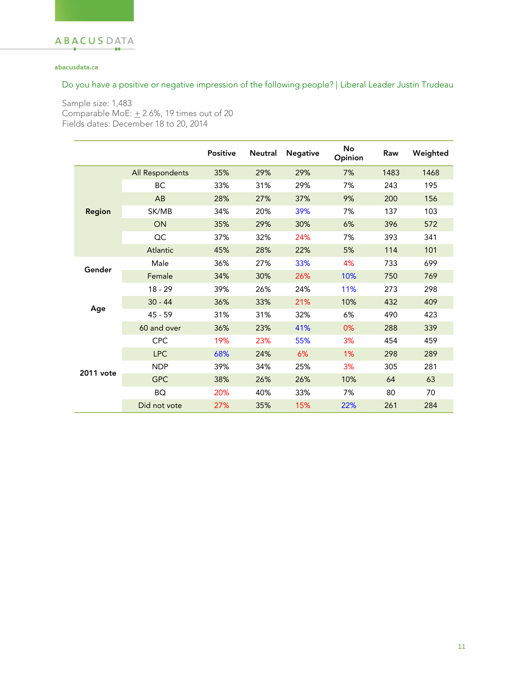### abacusdata.ca

## Do you have a positive or negative impression of the following people? | Liberal Leader Justin Trudeau

|           |                 | <b>Positive</b> | <b>Neutral</b> | <b>Negative</b> | No<br>Opinion | Raw  | Weighted |
|-----------|-----------------|-----------------|----------------|-----------------|---------------|------|----------|
|           | All Respondents | 35%             | 29%            | 29%             | 7%            | 1483 | 1468     |
|           | ВC              | 33%             | 31%            | 29%             | 7%            | 243  | 195      |
|           | AB              | 28%             | 27%            | 37%             | 9%            | 200  | 156      |
| Region    | SK/MB           | 34%             | 20%            | 39%             | 7%            | 137  | 103      |
|           | ON              | 35%             | 29%            | 30%             | 6%            | 396  | 572      |
|           | QC              | 37%             | 32%            | 24%             | 7%            | 393  | 341      |
|           | Atlantic        | 45%             | 28%            | 22%             | 5%            | 114  | 101      |
| Gender    | Male            | 36%             | 27%            | 33%             | 4%            | 733  | 699      |
|           | Female          | 34%             | 30%            | 26%             | 10%           | 750  | 769      |
|           | $18 - 29$       | 39%             | 26%            | 24%             | 11%           | 273  | 298      |
|           | $30 - 44$       | 36%             | 33%            | 21%             | 10%           | 432  | 409      |
| Age       | $45 - 59$       | 31%             | 31%            | 32%             | 6%            | 490  | 423      |
|           | 60 and over     | 36%             | 23%            | 41%             | 0%            | 288  | 339      |
|           | <b>CPC</b>      | 19%             | 23%            | 55%             | 3%            | 454  | 459      |
|           | <b>LPC</b>      | 68%             | 24%            | 6%              | 1%            | 298  | 289      |
| 2011 vote | <b>NDP</b>      | 39%             | 34%            | 25%             | 3%            | 305  | 281      |
|           | <b>GPC</b>      | 38%             | 26%            | 26%             | 10%           | 64   | 63       |
|           | BQ              | 20%             | 40%            | 33%             | 7%            | 80   | 70       |
|           | Did not vote    | 27%             | 35%            | 15%             | 22%           | 261  | 284      |